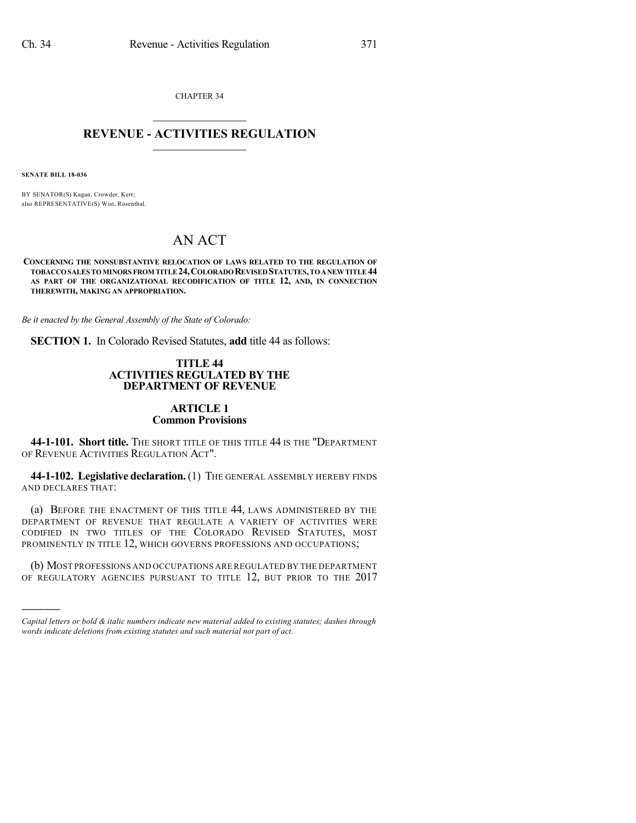CHAPTER 34  $\mathcal{L}_\text{max}$  . The set of the set of the set of the set of the set of the set of the set of the set of the set of the set of the set of the set of the set of the set of the set of the set of the set of the set of the set

### **REVENUE - ACTIVITIES REGULATION**  $\_$   $\_$   $\_$   $\_$   $\_$   $\_$   $\_$   $\_$   $\_$

**SENATE BILL 18-036**

)))))

BY SENATOR(S) Kagan, Crowder, Kerr; also REPRESENTATIVE(S) Wist, Rosenthal.

# AN ACT

**CONCERNING THE NONSUBSTANTIVE RELOCATION OF LAWS RELATED TO THE REGULATION OF TOBACCOSALES TOMINORS FROM TITLE24,COLORADOREVISEDSTATUTES,TOANEWTITLE44 AS PART OF THE ORGANIZATIONAL RECODIFICATION OF TITLE 12, AND, IN CONNECTION THEREWITH, MAKING AN APPROPRIATION.**

*Be it enacted by the General Assembly of the State of Colorado:*

**SECTION 1.** In Colorado Revised Statutes, **add** title 44 as follows:

#### **TITLE 44 ACTIVITIES REGULATED BY THE DEPARTMENT OF REVENUE**

## **ARTICLE 1 Common Provisions**

**44-1-101. Short title.** THE SHORT TITLE OF THIS TITLE 44 IS THE "DEPARTMENT OF REVENUE ACTIVITIES REGULATION ACT".

**44-1-102. Legislative declaration.** (1) THE GENERAL ASSEMBLY HEREBY FINDS AND DECLARES THAT:

(a) BEFORE THE ENACTMENT OF THIS TITLE 44, LAWS ADMINISTERED BY THE DEPARTMENT OF REVENUE THAT REGULATE A VARIETY OF ACTIVITIES WERE CODIFIED IN TWO TITLES OF THE COLORADO REVISED STATUTES, MOST PROMINENTLY IN TITLE 12, WHICH GOVERNS PROFESSIONS AND OCCUPATIONS;

(b) MOST PROFESSIONS AND OCCUPATIONS ARE REGULATED BY THE DEPARTMENT OF REGULATORY AGENCIES PURSUANT TO TITLE 12, BUT PRIOR TO THE 2017

*Capital letters or bold & italic numbers indicate new material added to existing statutes; dashes through words indicate deletions from existing statutes and such material not part of act.*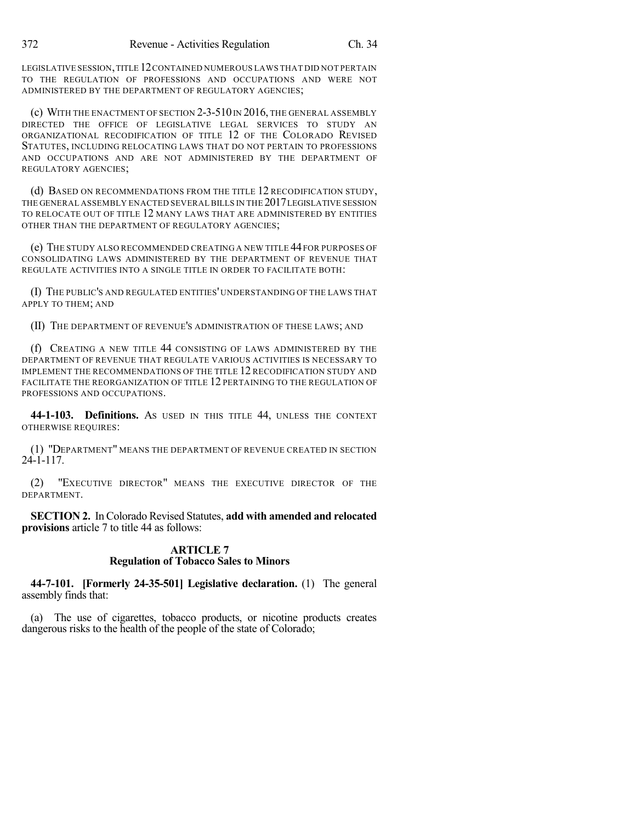LEGISLATIVE SESSION,TITLE 12CONTAINED NUMEROUS LAWS THAT DID NOT PERTAIN TO THE REGULATION OF PROFESSIONS AND OCCUPATIONS AND WERE NOT ADMINISTERED BY THE DEPARTMENT OF REGULATORY AGENCIES;

(c) WITH THE ENACTMENT OF SECTION  $2-3-510$  IN  $2016$ , the General assembly DIRECTED THE OFFICE OF LEGISLATIVE LEGAL SERVICES TO STUDY AN ORGANIZATIONAL RECODIFICATION OF TITLE 12 OF THE COLORADO REVISED STATUTES, INCLUDING RELOCATING LAWS THAT DO NOT PERTAIN TO PROFESSIONS AND OCCUPATIONS AND ARE NOT ADMINISTERED BY THE DEPARTMENT OF REGULATORY AGENCIES;

(d) BASED ON RECOMMENDATIONS FROM THE TITLE 12 RECODIFICATION STUDY, THE GENERAL ASSEMBLY ENACTED SEVERALBILLS IN THE 2017LEGISLATIVE SESSION TO RELOCATE OUT OF TITLE 12 MANY LAWS THAT ARE ADMINISTERED BY ENTITIES OTHER THAN THE DEPARTMENT OF REGULATORY AGENCIES;

(e) THE STUDY ALSO RECOMMENDED CREATING A NEW TITLE 44 FOR PURPOSES OF CONSOLIDATING LAWS ADMINISTERED BY THE DEPARTMENT OF REVENUE THAT REGULATE ACTIVITIES INTO A SINGLE TITLE IN ORDER TO FACILITATE BOTH:

(I) THE PUBLIC'S AND REGULATED ENTITIES' UNDERSTANDING OF THE LAWS THAT APPLY TO THEM; AND

(II) THE DEPARTMENT OF REVENUE'S ADMINISTRATION OF THESE LAWS; AND

(f) CREATING A NEW TITLE 44 CONSISTING OF LAWS ADMINISTERED BY THE DEPARTMENT OF REVENUE THAT REGULATE VARIOUS ACTIVITIES IS NECESSARY TO IMPLEMENT THE RECOMMENDATIONS OF THE TITLE 12 RECODIFICATION STUDY AND FACILITATE THE REORGANIZATION OF TITLE 12 PERTAINING TO THE REGULATION OF PROFESSIONS AND OCCUPATIONS.

**44-1-103. Definitions.** AS USED IN THIS TITLE 44, UNLESS THE CONTEXT OTHERWISE REQUIRES:

(1) "DEPARTMENT" MEANS THE DEPARTMENT OF REVENUE CREATED IN SECTION 24-1-117.

(2) "EXECUTIVE DIRECTOR" MEANS THE EXECUTIVE DIRECTOR OF THE DEPARTMENT.

**SECTION 2.** In Colorado Revised Statutes, **add with amended and relocated provisions** article 7 to title 44 as follows:

## **ARTICLE 7 Regulation of Tobacco Sales to Minors**

**44-7-101. [Formerly 24-35-501] Legislative declaration.** (1) The general assembly finds that:

(a) The use of cigarettes, tobacco products, or nicotine products creates dangerous risks to the health of the people of the state of Colorado;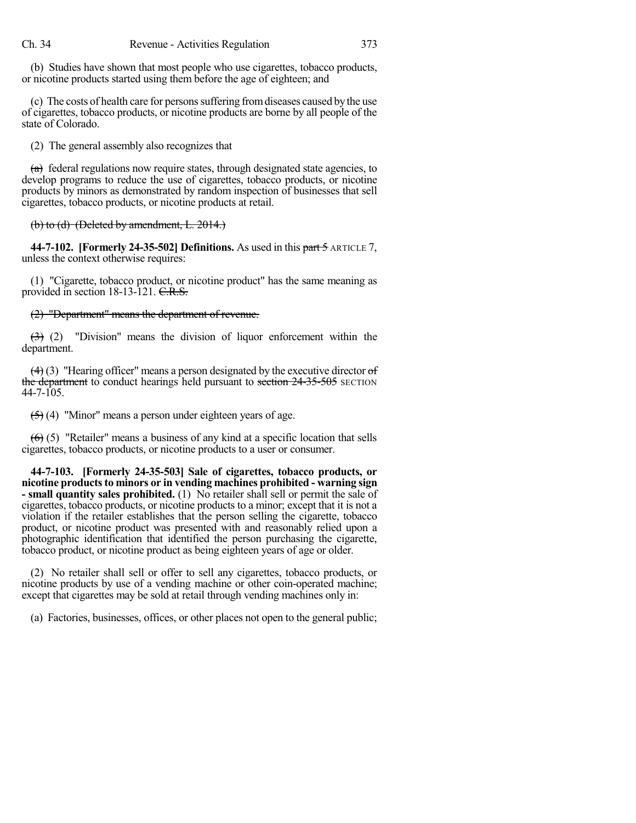(b) Studies have shown that most people who use cigarettes, tobacco products, or nicotine products started using them before the age of eighteen; and

(c) The costs of health care for personssuffering fromdiseases caused by the use of cigarettes, tobacco products, or nicotine products are borne by all people of the state of Colorado.

(2) The general assembly also recognizes that

 $(a)$  federal regulations now require states, through designated state agencies, to develop programs to reduce the use of cigarettes, tobacco products, or nicotine products by minors as demonstrated by random inspection of businesses that sell cigarettes, tobacco products, or nicotine products at retail.

(b) to (d) (Deleted by amendment, L. 2014.)

**44-7-102. [Formerly 24-35-502] Definitions.** As used in this part 5 ARTICLE 7, unless the context otherwise requires:

(1) "Cigarette, tobacco product, or nicotine product" has the same meaning as provided in section 18-13-121. C.R.S.

### (2) "Department" means the department of revenue.

 $(3)$  (2) "Division" means the division of liquor enforcement within the department.

 $(4)$  (3) "Hearing officer" means a person designated by the executive director of the department to conduct hearings held pursuant to section 24-35-505 SECTION  $44 - 7 - 105$ .

(5) (4) "Minor" means a person under eighteen years of age.

 $(6)$  (5) "Retailer" means a business of any kind at a specific location that sells cigarettes, tobacco products, or nicotine products to a user or consumer.

**44-7-103. [Formerly 24-35-503] Sale of cigarettes, tobacco products, or nicotine productsto minors or in vending machines prohibited - warning sign - small quantity sales prohibited.** (1) No retailer shall sell or permit the sale of cigarettes, tobacco products, or nicotine products to a minor; except that it is not a violation if the retailer establishes that the person selling the cigarette, tobacco product, or nicotine product was presented with and reasonably relied upon a photographic identification that identified the person purchasing the cigarette, tobacco product, or nicotine product as being eighteen years of age or older.

(2) No retailer shall sell or offer to sell any cigarettes, tobacco products, or nicotine products by use of a vending machine or other coin-operated machine; except that cigarettes may be sold at retail through vending machines only in:

(a) Factories, businesses, offices, or other places not open to the general public;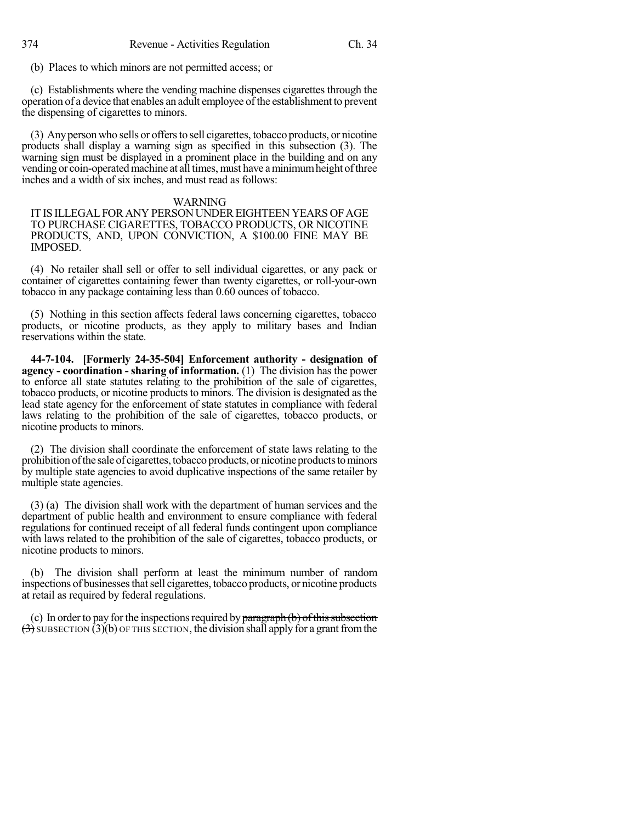(b) Places to which minors are not permitted access; or

(c) Establishments where the vending machine dispenses cigarettes through the operation of a device that enables an adult employee of the establishment to prevent the dispensing of cigarettes to minors.

(3) Anyperson who sells or offersto sell cigarettes, tobacco products, or nicotine products shall display a warning sign as specified in this subsection (3). The warning sign must be displayed in a prominent place in the building and on any vending or coin-operated machine at all times, must have a minimum height of three inches and a width of six inches, and must read as follows:

#### WARNING

IT IS ILLEGAL FOR ANY PERSON UNDER EIGHTEEN YEARS OF AGE TO PURCHASE CIGARETTES, TOBACCO PRODUCTS, OR NICOTINE PRODUCTS, AND, UPON CONVICTION, A \$100.00 FINE MAY BE IMPOSED.

(4) No retailer shall sell or offer to sell individual cigarettes, or any pack or container of cigarettes containing fewer than twenty cigarettes, or roll-your-own tobacco in any package containing less than 0.60 ounces of tobacco.

(5) Nothing in this section affects federal laws concerning cigarettes, tobacco products, or nicotine products, as they apply to military bases and Indian reservations within the state.

**44-7-104. [Formerly 24-35-504] Enforcement authority - designation of agency - coordination - sharing of information.** (1) The division has the power to enforce all state statutes relating to the prohibition of the sale of cigarettes, tobacco products, or nicotine products to minors. The division is designated as the lead state agency for the enforcement of state statutes in compliance with federal laws relating to the prohibition of the sale of cigarettes, tobacco products, or nicotine products to minors.

(2) The division shall coordinate the enforcement of state laws relating to the prohibition of the sale of cigarettes, tobacco products, or nicotine products to minors by multiple state agencies to avoid duplicative inspections of the same retailer by multiple state agencies.

(3) (a) The division shall work with the department of human services and the department of public health and environment to ensure compliance with federal regulations for continued receipt of all federal funds contingent upon compliance with laws related to the prohibition of the sale of cigarettes, tobacco products, or nicotine products to minors.

(b) The division shall perform at least the minimum number of random inspections of businesses that sell cigarettes, tobacco products, or nicotine products at retail as required by federal regulations.

(c) In order to pay for the inspections required by  $\frac{1}{2}$  paragraph (b) of this subsection  $\overline{(3)}$  SUBSECTION (3)(b) OF THIS SECTION, the division shall apply for a grant from the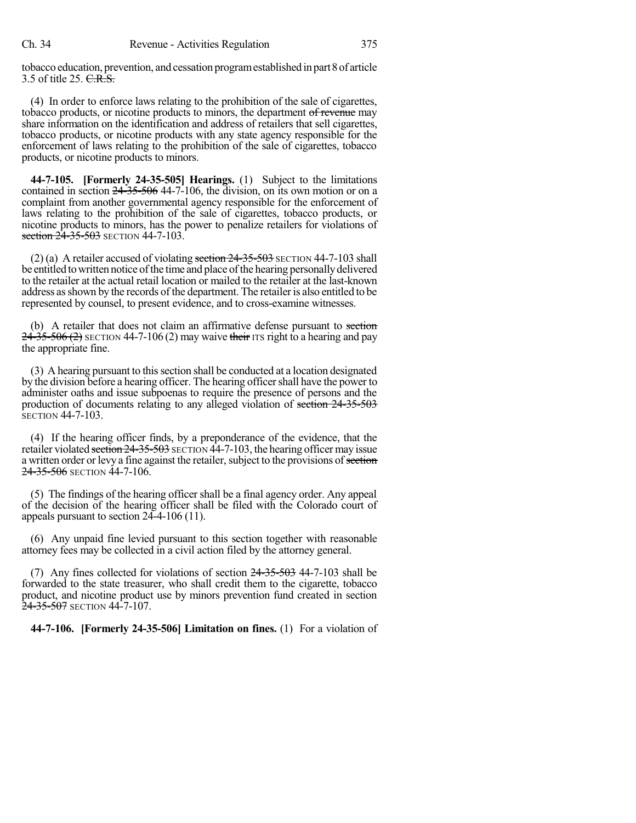tobacco education, prevention, and cessation programestablished in part8of article 3.5 of title 25. C.R.S.

(4) In order to enforce laws relating to the prohibition of the sale of cigarettes, tobacco products, or nicotine products to minors, the department of revenue may share information on the identification and address of retailers that sell cigarettes, tobacco products, or nicotine products with any state agency responsible for the enforcement of laws relating to the prohibition of the sale of cigarettes, tobacco products, or nicotine products to minors.

**44-7-105. [Formerly 24-35-505] Hearings.** (1) Subject to the limitations contained in section 24-35-506 44-7-106, the division, on its own motion or on a complaint from another governmental agency responsible for the enforcement of laws relating to the prohibition of the sale of cigarettes, tobacco products, or nicotine products to minors, has the power to penalize retailers for violations of section 24-35-503 SECTION 44-7-103.

(2) (a) A retailer accused of violating section  $24-35-503$  SECTION 44-7-103 shall be entitled to written notice of the time and place of the hearing personally delivered to the retailer at the actual retail location or mailed to the retailer at the last-known address as shown by the records of the department. The retailer is also entitled to be represented by counsel, to present evidence, and to cross-examine witnesses.

(b) A retailer that does not claim an affirmative defense pursuant to section  $24-35-506(2)$  SECTION 44-7-106 (2) may waive their ITS right to a hearing and pay the appropriate fine.

(3) A hearing pursuant to this section shall be conducted at a location designated by the division before a hearing officer. The hearing officer shall have the power to administer oaths and issue subpoenas to require the presence of persons and the production of documents relating to any alleged violation of section 24-35-503 SECTION 44-7-103.

(4) If the hearing officer finds, by a preponderance of the evidence, that the retailer violated section 24-35-503 SECTION 44-7-103, the hearing officer may issue a written order or levy a fine against the retailer, subject to the provisions of section 24-35-506 SECTION 44-7-106.

(5) The findings of the hearing officer shall be a final agency order. Any appeal of the decision of the hearing officer shall be filed with the Colorado court of appeals pursuant to section 24-4-106 (11).

(6) Any unpaid fine levied pursuant to this section together with reasonable attorney fees may be collected in a civil action filed by the attorney general.

(7) Any fines collected for violations of section  $24-35-503$  44-7-103 shall be forwarded to the state treasurer, who shall credit them to the cigarette, tobacco product, and nicotine product use by minors prevention fund created in section 24-35-507 SECTION 44-7-107.

**44-7-106. [Formerly 24-35-506] Limitation on fines.** (1) For a violation of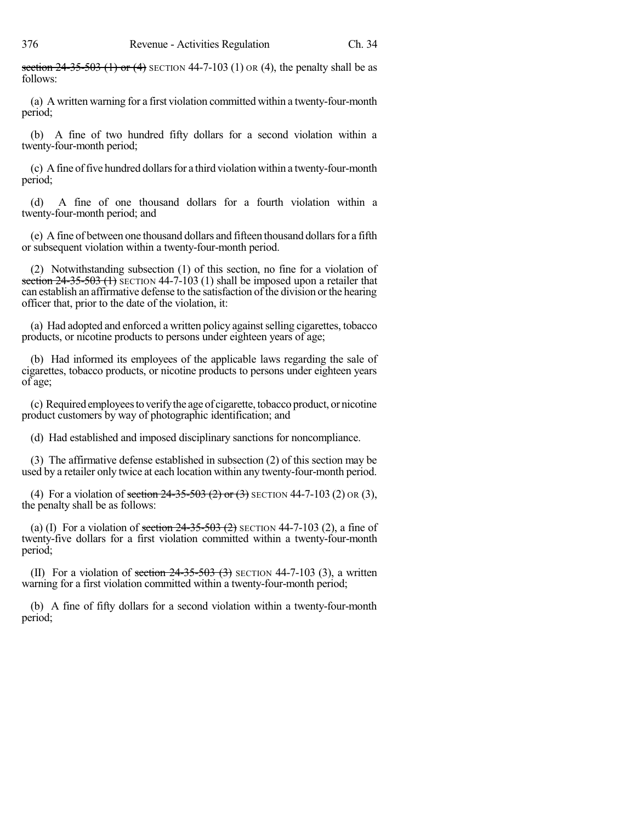section  $24-35-503$  (1) or (4) SECTION 44-7-103 (1) OR (4), the penalty shall be as follows:

(a) A written warning for a first violation committed within a twenty-four-month period;

(b) A fine of two hundred fifty dollars for a second violation within a twenty-four-month period;

(c) Afine offive hundred dollarsfor a third violation within a twenty-four-month period;

(d) A fine of one thousand dollars for a fourth violation within a twenty-four-month period; and

(e) A fine of between one thousand dollars and fifteen thousand dollars for a fifth or subsequent violation within a twenty-four-month period.

(2) Notwithstanding subsection (1) of this section, no fine for a violation of section  $24-35-503$  (1) SECTION 44-7-103 (1) shall be imposed upon a retailer that can establish an affirmative defense to the satisfaction of the division orthe hearing officer that, prior to the date of the violation, it:

(a) Had adopted and enforced a written policy againstselling cigarettes, tobacco products, or nicotine products to persons under eighteen years of age;

(b) Had informed its employees of the applicable laws regarding the sale of cigarettes, tobacco products, or nicotine products to persons under eighteen years of age;

(c) Requiredemployeestoverifythe age of cigarette, tobacco product, or nicotine product customers by way of photographic identification; and

(d) Had established and imposed disciplinary sanctions for noncompliance.

(3) The affirmative defense established in subsection (2) of this section may be used by a retailer only twice at each location within any twenty-four-month period.

(4) For a violation of section  $24-35-503$  (2) or (3) SECTION 44-7-103 (2) OR (3), the penalty shall be as follows:

(a) (I) For a violation of section  $24-35-503(2)$  SECTION 44-7-103 (2), a fine of twenty-five dollars for a first violation committed within a twenty-four-month period;

(II) For a violation of section  $24-35-503$  (3) SECTION 44-7-103 (3), a written warning for a first violation committed within a twenty-four-month period;

(b) A fine of fifty dollars for a second violation within a twenty-four-month period;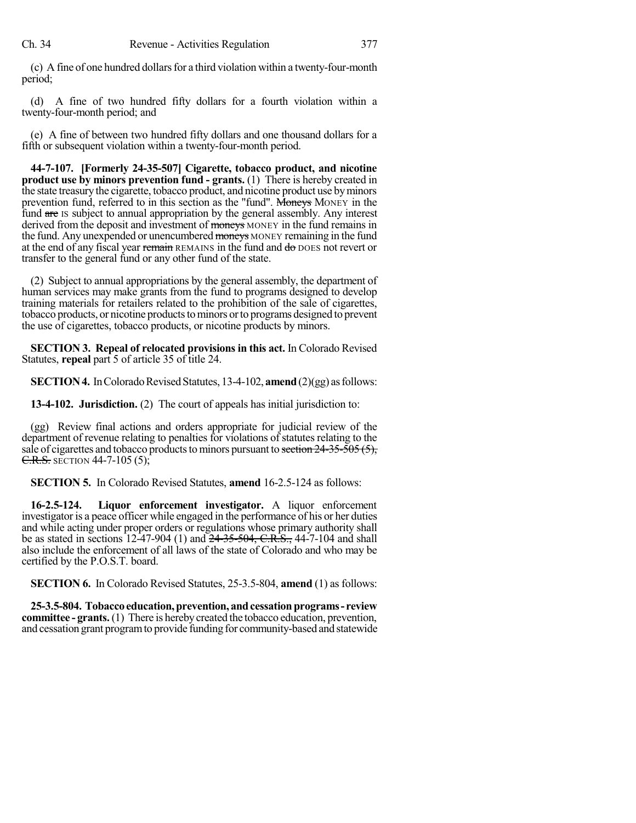(c) A fine of one hundred dollars for a third violation within a twenty-four-month period;

(d) A fine of two hundred fifty dollars for a fourth violation within a twenty-four-month period; and

(e) A fine of between two hundred fifty dollars and one thousand dollars for a fifth or subsequent violation within a twenty-four-month period.

**44-7-107. [Formerly 24-35-507] Cigarette, tobacco product, and nicotine product use by minors prevention fund - grants.** (1) There is hereby created in the state treasury the cigarette, tobacco product, and nicotine product use byminors prevention fund, referred to in this section as the "fund". Moneys MONEY in the fund are IS subject to annual appropriation by the general assembly. Any interest derived from the deposit and investment of moneys MONEY in the fund remains in the fund. Any unexpended or unencumbered moneys MONEY remaining in the fund at the end of any fiscal year remain REMAINS in the fund and do DOES not revert or transfer to the general fund or any other fund of the state.

(2) Subject to annual appropriations by the general assembly, the department of human services may make grants from the fund to programs designed to develop training materials for retailers related to the prohibition of the sale of cigarettes, tobacco products, or nicotine products to minors or to programs designed to prevent the use of cigarettes, tobacco products, or nicotine products by minors.

**SECTION 3. Repeal of relocated provisions in this act.** In Colorado Revised Statutes, **repeal** part 5 of article 35 of title 24.

**SECTION 4.** In Colorado Revised Statutes, 13-4-102, **amend** (2)(gg) as follows:

**13-4-102. Jurisdiction.** (2) The court of appeals has initial jurisdiction to:

(gg) Review final actions and orders appropriate for judicial review of the department of revenue relating to penalties for violations of statutes relating to the sale of cigarettes and tobacco products to minors pursuant to section  $24-35-505(5)$ , **C.R.S.** SECTION 44-7-105 (5);

**SECTION 5.** In Colorado Revised Statutes, **amend** 16-2.5-124 as follows:

**16-2.5-124. Liquor enforcement investigator.** A liquor enforcement investigator is a peace officer while engaged in the performance of his or her duties and while acting under proper orders or regulations whose primary authority shall be as stated in sections 12-47-904 (1) and 24-35-504, C.R.S., 44-7-104 and shall also include the enforcement of all laws of the state of Colorado and who may be certified by the P.O.S.T. board.

**SECTION 6.** In Colorado Revised Statutes, 25-3.5-804, **amend** (1) as follows:

**25-3.5-804. Tobaccoeducation,prevention, andcessationprograms- review committee -** grants. (1) There is hereby created the tobacco education, prevention, and cessation grant programto provide funding for community-based and statewide